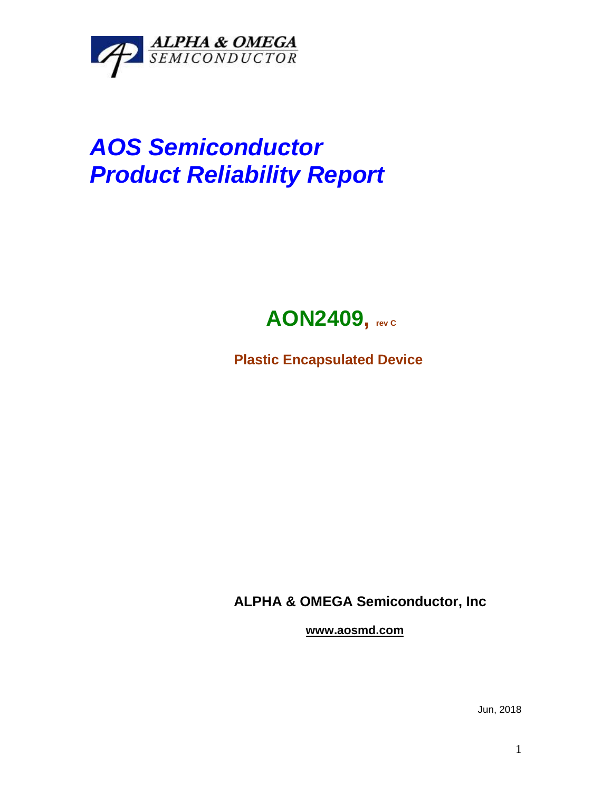

## *AOS Semiconductor Product Reliability Report*



**Plastic Encapsulated Device**

**ALPHA & OMEGA Semiconductor, Inc**

**www.aosmd.com**

Jun, 2018